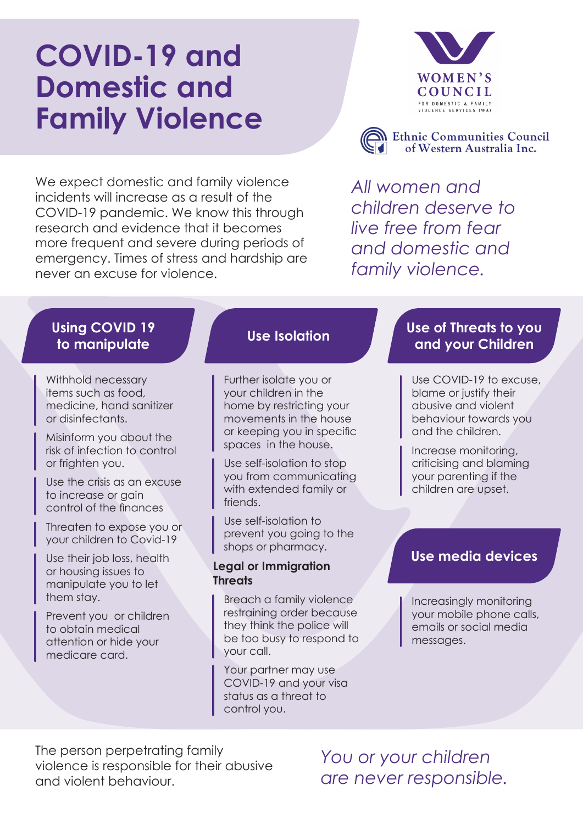# **COVID-19 and Domestic and Family Violence**

We expect domestic and family violence incidents will increase as a result of the COVID-19 pandemic. We know this through research and evidence that it becomes more frequent and severe during periods of emergency. Times of stress and hardship are never an excuse for violence.



**N** Ethnic Communities Council of Western Australia Inc.

*All women and children deserve to live free from fear and domestic and family violence.*

# **Using COVID 19**

Withhold necessary items such as food, medicine, hand sanitizer or disinfectants.

Misinform you about the risk of infection to control or frighten you.

Use the crisis as an excuse to increase or gain control of the finances

Threaten to expose you or your children to Covid-19

Use their job loss, health or housing issues to manipulate you to let them stay.

Prevent you or children to obtain medical attention or hide your medicare card.

Further isolate you or your children in the home by restricting your movements in the house or keeping you in specific spaces in the house.

Use self-isolation to stop you from communicating with extended family or friends.

Use self-isolation to prevent you going to the shops or pharmacy.

#### **Legal or Immigration Threats**

Breach a family violence restraining order because they think the police will be too busy to respond to your call.

Your partner may use COVID-19 and your visa status as a threat to control you.

### **to manipulate Use Isolation Use of Threats to you and your Children**

Use COVID-19 to excuse, blame or justify their abusive and violent behaviour towards you and the children.

Increase monitoring, criticising and blaming your parenting if the children are upset.

### **Use media devices**

Increasingly monitoring your mobile phone calls, emails or social media messages.

The person perpetrating family violence is responsible for their abusive and violent behaviour.

*You or your children are never responsible.*